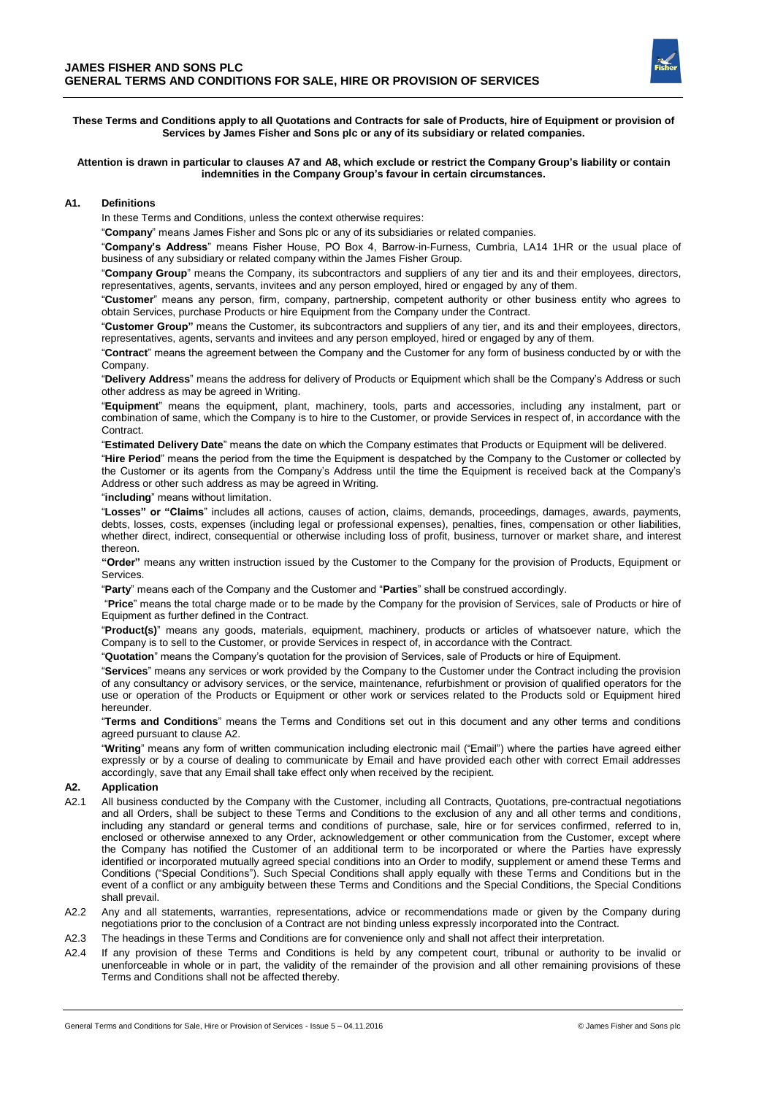**These Terms and Conditions apply to all Quotations and Contracts for sale of Products, hire of Equipment or provision of Services by James Fisher and Sons plc or any of its subsidiary or related companies.**

#### **Attention is drawn in particular to clauses A7 and A8, which exclude or restrict the Company Group's liability or contain indemnities in the Company Group's favour in certain circumstances.**

#### **A1. Definitions**

In these Terms and Conditions, unless the context otherwise requires:

"**Company**" means James Fisher and Sons plc or any of its subsidiaries or related companies.

"**Company's Address**" means Fisher House, PO Box 4, Barrow-in-Furness, Cumbria, LA14 1HR or the usual place of business of any subsidiary or related company within the James Fisher Group.

"**Company Group**" means the Company, its subcontractors and suppliers of any tier and its and their employees, directors, representatives, agents, servants, invitees and any person employed, hired or engaged by any of them.

"**Customer**" means any person, firm, company, partnership, competent authority or other business entity who agrees to obtain Services, purchase Products or hire Equipment from the Company under the Contract.

"**Customer Group"** means the Customer, its subcontractors and suppliers of any tier, and its and their employees, directors, representatives, agents, servants and invitees and any person employed, hired or engaged by any of them.

"**Contract**" means the agreement between the Company and the Customer for any form of business conducted by or with the Company.

"**Delivery Address**" means the address for delivery of Products or Equipment which shall be the Company's Address or such other address as may be agreed in Writing.

"**Equipment**" means the equipment, plant, machinery, tools, parts and accessories, including any instalment, part or combination of same, which the Company is to hire to the Customer, or provide Services in respect of, in accordance with the Contract.

"**Estimated Delivery Date**" means the date on which the Company estimates that Products or Equipment will be delivered.

"**Hire Period**" means the period from the time the Equipment is despatched by the Company to the Customer or collected by the Customer or its agents from the Company's Address until the time the Equipment is received back at the Company's Address or other such address as may be agreed in Writing.

"**including**" means without limitation.

"**Losses" or "Claims**" includes all actions, causes of action, claims, demands, proceedings, damages, awards, payments, debts, losses, costs, expenses (including legal or professional expenses), penalties, fines, compensation or other liabilities, whether direct, indirect, consequential or otherwise including loss of profit, business, turnover or market share, and interest thereon.

**"Order"** means any written instruction issued by the Customer to the Company for the provision of Products, Equipment or Services.

"**Party**" means each of the Company and the Customer and "**Parties**" shall be construed accordingly.

"**Price**" means the total charge made or to be made by the Company for the provision of Services, sale of Products or hire of Equipment as further defined in the Contract.

"**Product(s)**" means any goods, materials, equipment, machinery, products or articles of whatsoever nature, which the Company is to sell to the Customer, or provide Services in respect of, in accordance with the Contract.

"**Quotation**" means the Company's quotation for the provision of Services, sale of Products or hire of Equipment.

"**Services**" means any services or work provided by the Company to the Customer under the Contract including the provision of any consultancy or advisory services, or the service, maintenance, refurbishment or provision of qualified operators for the use or operation of the Products or Equipment or other work or services related to the Products sold or Equipment hired hereunder.

"**Terms and Conditions**" means the Terms and Conditions set out in this document and any other terms and conditions agreed pursuant to clause A2.

"**Writing**" means any form of written communication including electronic mail ("Email") where the parties have agreed either expressly or by a course of dealing to communicate by Email and have provided each other with correct Email addresses accordingly, save that any Email shall take effect only when received by the recipient.

### **A2. Application**

- A2.1 All business conducted by the Company with the Customer, including all Contracts, Quotations, pre-contractual negotiations and all Orders, shall be subject to these Terms and Conditions to the exclusion of any and all other terms and conditions, including any standard or general terms and conditions of purchase, sale, hire or for services confirmed, referred to in, enclosed or otherwise annexed to any Order, acknowledgement or other communication from the Customer, except where the Company has notified the Customer of an additional term to be incorporated or where the Parties have expressly identified or incorporated mutually agreed special conditions into an Order to modify, supplement or amend these Terms and Conditions ("Special Conditions"). Such Special Conditions shall apply equally with these Terms and Conditions but in the event of a conflict or any ambiguity between these Terms and Conditions and the Special Conditions, the Special Conditions shall prevail.
- A2.2 Any and all statements, warranties, representations, advice or recommendations made or given by the Company during negotiations prior to the conclusion of a Contract are not binding unless expressly incorporated into the Contract.

A2.3 The headings in these Terms and Conditions are for convenience only and shall not affect their interpretation.

A2.4 If any provision of these Terms and Conditions is held by any competent court, tribunal or authority to be invalid or unenforceable in whole or in part, the validity of the remainder of the provision and all other remaining provisions of these Terms and Conditions shall not be affected thereby.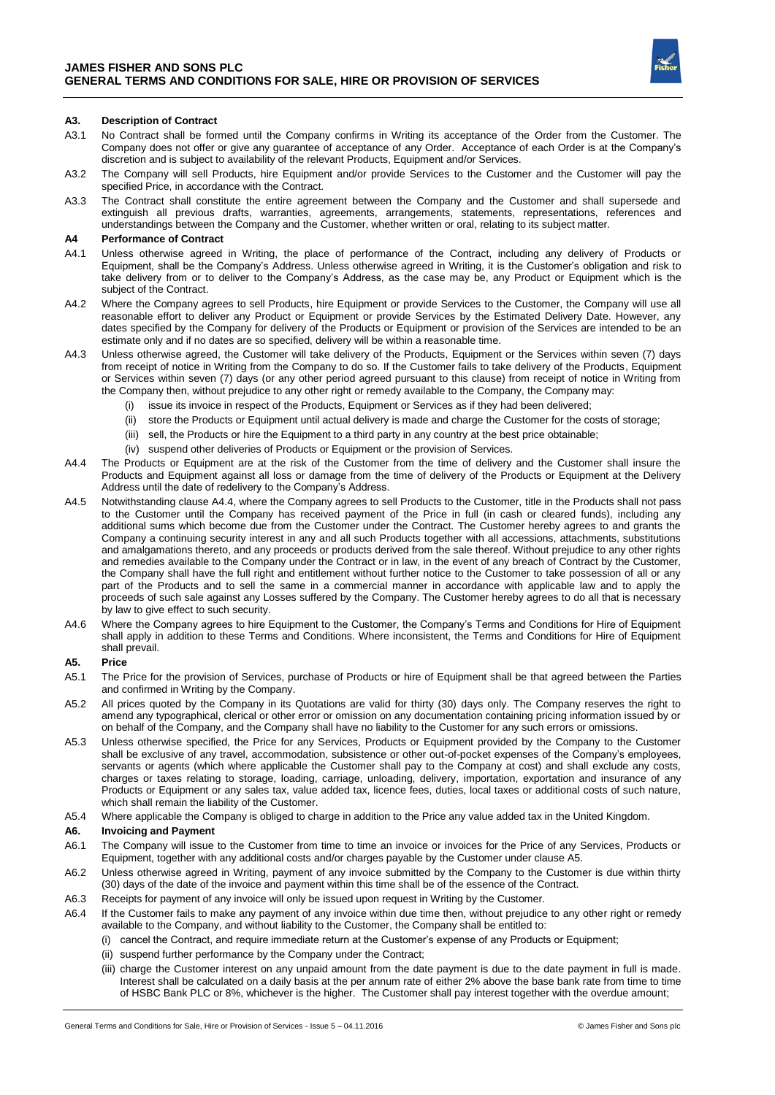

# **A3. Description of Contract**

- A3.1 No Contract shall be formed until the Company confirms in Writing its acceptance of the Order from the Customer. The Company does not offer or give any guarantee of acceptance of any Order. Acceptance of each Order is at the Company's discretion and is subject to availability of the relevant Products, Equipment and/or Services.
- A3.2 The Company will sell Products, hire Equipment and/or provide Services to the Customer and the Customer will pay the specified Price, in accordance with the Contract.
- A3.3 The Contract shall constitute the entire agreement between the Company and the Customer and shall supersede and extinguish all previous drafts, warranties, agreements, arrangements, statements, representations, references and understandings between the Company and the Customer, whether written or oral, relating to its subject matter.

### **A4 Performance of Contract**

- A4.1 Unless otherwise agreed in Writing, the place of performance of the Contract, including any delivery of Products or Equipment, shall be the Company's Address. Unless otherwise agreed in Writing, it is the Customer's obligation and risk to take delivery from or to deliver to the Company's Address, as the case may be, any Product or Equipment which is the subject of the Contract.
- A4.2 Where the Company agrees to sell Products, hire Equipment or provide Services to the Customer, the Company will use all reasonable effort to deliver any Product or Equipment or provide Services by the Estimated Delivery Date. However, any dates specified by the Company for delivery of the Products or Equipment or provision of the Services are intended to be an estimate only and if no dates are so specified, delivery will be within a reasonable time.
- A4.3 Unless otherwise agreed, the Customer will take delivery of the Products, Equipment or the Services within seven (7) days from receipt of notice in Writing from the Company to do so. If the Customer fails to take delivery of the Products, Equipment or Services within seven (7) days (or any other period agreed pursuant to this clause) from receipt of notice in Writing from the Company then, without prejudice to any other right or remedy available to the Company, the Company may:
	- (i) issue its invoice in respect of the Products, Equipment or Services as if they had been delivered;
	- (ii) store the Products or Equipment until actual delivery is made and charge the Customer for the costs of storage;
	- (iii) sell, the Products or hire the Equipment to a third party in any country at the best price obtainable;
	- (iv) suspend other deliveries of Products or Equipment or the provision of Services.
- A4.4 The Products or Equipment are at the risk of the Customer from the time of delivery and the Customer shall insure the Products and Equipment against all loss or damage from the time of delivery of the Products or Equipment at the Delivery Address until the date of redelivery to the Company's Address.
- A4.5 Notwithstanding clause A4.4, where the Company agrees to sell Products to the Customer, title in the Products shall not pass to the Customer until the Company has received payment of the Price in full (in cash or cleared funds), including any additional sums which become due from the Customer under the Contract. The Customer hereby agrees to and grants the Company a continuing security interest in any and all such Products together with all accessions, attachments, substitutions and amalgamations thereto, and any proceeds or products derived from the sale thereof. Without prejudice to any other rights and remedies available to the Company under the Contract or in law, in the event of any breach of Contract by the Customer, the Company shall have the full right and entitlement without further notice to the Customer to take possession of all or any part of the Products and to sell the same in a commercial manner in accordance with applicable law and to apply the proceeds of such sale against any Losses suffered by the Company. The Customer hereby agrees to do all that is necessary by law to give effect to such security.
- A4.6 Where the Company agrees to hire Equipment to the Customer, the Company's Terms and Conditions for Hire of Equipment shall apply in addition to these Terms and Conditions. Where inconsistent, the Terms and Conditions for Hire of Equipment shall prevail.

# **A5. Price**

- A5.1 The Price for the provision of Services, purchase of Products or hire of Equipment shall be that agreed between the Parties and confirmed in Writing by the Company.
- A5.2 All prices quoted by the Company in its Quotations are valid for thirty (30) days only. The Company reserves the right to amend any typographical, clerical or other error or omission on any documentation containing pricing information issued by or on behalf of the Company, and the Company shall have no liability to the Customer for any such errors or omissions.
- A5.3 Unless otherwise specified, the Price for any Services, Products or Equipment provided by the Company to the Customer shall be exclusive of any travel, accommodation, subsistence or other out-of-pocket expenses of the Company's employees, servants or agents (which where applicable the Customer shall pay to the Company at cost) and shall exclude any costs, charges or taxes relating to storage, loading, carriage, unloading, delivery, importation, exportation and insurance of any Products or Equipment or any sales tax, value added tax, licence fees, duties, local taxes or additional costs of such nature, which shall remain the liability of the Customer.
- A5.4 Where applicable the Company is obliged to charge in addition to the Price any value added tax in the United Kingdom.

#### **A6. Invoicing and Payment**

- A6.1 The Company will issue to the Customer from time to time an invoice or invoices for the Price of any Services, Products or Equipment, together with any additional costs and/or charges payable by the Customer under clause A5.
- A6.2 Unless otherwise agreed in Writing, payment of any invoice submitted by the Company to the Customer is due within thirty (30) days of the date of the invoice and payment within this time shall be of the essence of the Contract.
- A6.3 Receipts for payment of any invoice will only be issued upon request in Writing by the Customer.
- A6.4 If the Customer fails to make any payment of any invoice within due time then, without prejudice to any other right or remedy available to the Company, and without liability to the Customer, the Company shall be entitled to:
	- (i) cancel the Contract, and require immediate return at the Customer's expense of any Products or Equipment;
	- (ii) suspend further performance by the Company under the Contract;
	- (iii) charge the Customer interest on any unpaid amount from the date payment is due to the date payment in full is made. Interest shall be calculated on a daily basis at the per annum rate of either 2% above the base bank rate from time to time of HSBC Bank PLC or 8%, whichever is the higher. The Customer shall pay interest together with the overdue amount;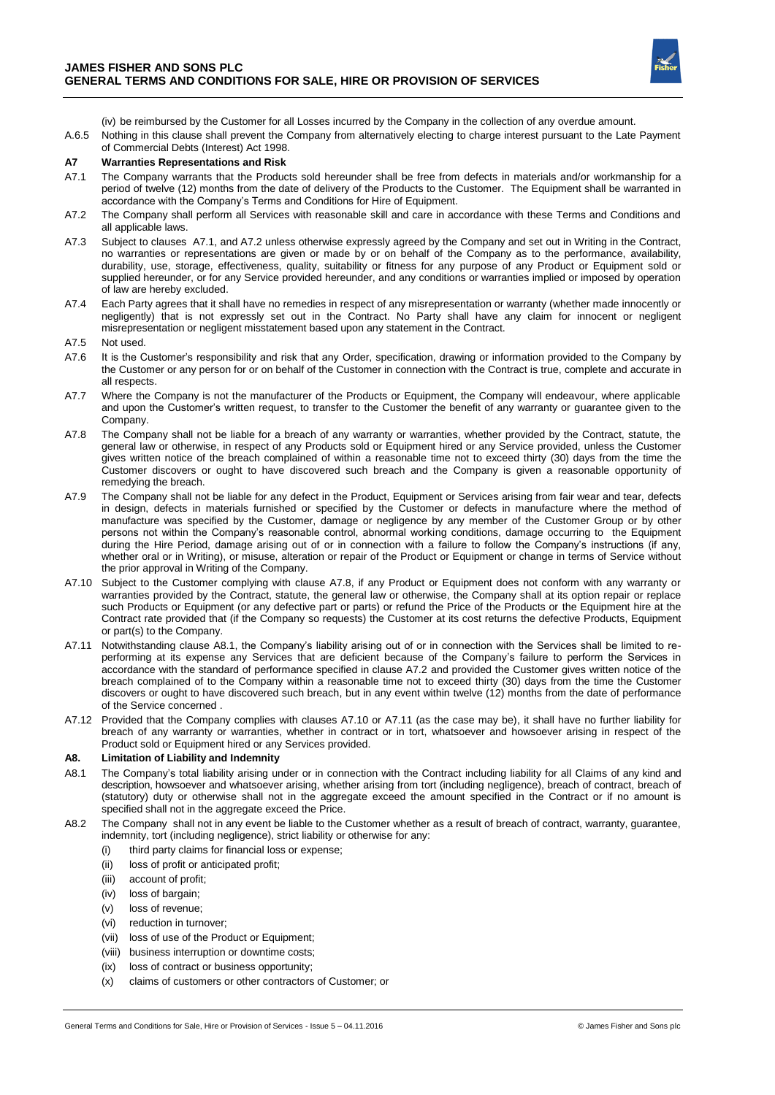

(iv) be reimbursed by the Customer for all Losses incurred by the Company in the collection of any overdue amount.

A.6.5 Nothing in this clause shall prevent the Company from alternatively electing to charge interest pursuant to the Late Payment of Commercial Debts (Interest) Act 1998.

# **A7 Warranties Representations and Risk**

- A7.1 The Company warrants that the Products sold hereunder shall be free from defects in materials and/or workmanship for a period of twelve (12) months from the date of delivery of the Products to the Customer. The Equipment shall be warranted in accordance with the Company's Terms and Conditions for Hire of Equipment.
- A7.2 The Company shall perform all Services with reasonable skill and care in accordance with these Terms and Conditions and all applicable laws.
- A7.3 Subject to clauses A7.1, and A7.2 unless otherwise expressly agreed by the Company and set out in Writing in the Contract, no warranties or representations are given or made by or on behalf of the Company as to the performance, availability, durability, use, storage, effectiveness, quality, suitability or fitness for any purpose of any Product or Equipment sold or supplied hereunder, or for any Service provided hereunder, and any conditions or warranties implied or imposed by operation of law are hereby excluded.
- A7.4 Each Party agrees that it shall have no remedies in respect of any misrepresentation or warranty (whether made innocently or negligently) that is not expressly set out in the Contract. No Party shall have any claim for innocent or negligent misrepresentation or negligent misstatement based upon any statement in the Contract.
- A7.5 Not used.
- A7.6 It is the Customer's responsibility and risk that any Order, specification, drawing or information provided to the Company by the Customer or any person for or on behalf of the Customer in connection with the Contract is true, complete and accurate in all respects.
- A7.7 Where the Company is not the manufacturer of the Products or Equipment, the Company will endeavour, where applicable and upon the Customer's written request, to transfer to the Customer the benefit of any warranty or guarantee given to the Company.
- A7.8 The Company shall not be liable for a breach of any warranty or warranties, whether provided by the Contract, statute, the general law or otherwise, in respect of any Products sold or Equipment hired or any Service provided, unless the Customer gives written notice of the breach complained of within a reasonable time not to exceed thirty (30) days from the time the Customer discovers or ought to have discovered such breach and the Company is given a reasonable opportunity of remedying the breach.
- A7.9 The Company shall not be liable for any defect in the Product, Equipment or Services arising from fair wear and tear, defects in design, defects in materials furnished or specified by the Customer or defects in manufacture where the method of manufacture was specified by the Customer, damage or negligence by any member of the Customer Group or by other persons not within the Company's reasonable control, abnormal working conditions, damage occurring to the Equipment during the Hire Period, damage arising out of or in connection with a failure to follow the Company's instructions (if any, whether oral or in Writing), or misuse, alteration or repair of the Product or Equipment or change in terms of Service without the prior approval in Writing of the Company.
- A7.10 Subject to the Customer complying with clause A7.8, if any Product or Equipment does not conform with any warranty or warranties provided by the Contract, statute, the general law or otherwise, the Company shall at its option repair or replace such Products or Equipment (or any defective part or parts) or refund the Price of the Products or the Equipment hire at the Contract rate provided that (if the Company so requests) the Customer at its cost returns the defective Products, Equipment or part(s) to the Company.
- A7.11 Notwithstanding clause A8.1, the Company's liability arising out of or in connection with the Services shall be limited to reperforming at its expense any Services that are deficient because of the Company's failure to perform the Services in accordance with the standard of performance specified in clause A7.2 and provided the Customer gives written notice of the breach complained of to the Company within a reasonable time not to exceed thirty (30) days from the time the Customer discovers or ought to have discovered such breach, but in any event within twelve (12) months from the date of performance of the Service concerned .
- A7.12 Provided that the Company complies with clauses A7.10 or A7.11 (as the case may be), it shall have no further liability for breach of any warranty or warranties, whether in contract or in tort, whatsoever and howsoever arising in respect of the Product sold or Equipment hired or any Services provided.

# **A8. Limitation of Liability and Indemnity**

- A8.1 The Company's total liability arising under or in connection with the Contract including liability for all Claims of any kind and description, howsoever and whatsoever arising, whether arising from tort (including negligence), breach of contract, breach of (statutory) duty or otherwise shall not in the aggregate exceed the amount specified in the Contract or if no amount is specified shall not in the aggregate exceed the Price.
- A8.2 The Company shall not in any event be liable to the Customer whether as a result of breach of contract, warranty, guarantee, indemnity, tort (including negligence), strict liability or otherwise for any:
	- (i) third party claims for financial loss or expense;
	- (ii) loss of profit or anticipated profit;
	- (iii) account of profit;
	- (iv) loss of bargain:
	- (v) loss of revenue;
	- (vi) reduction in turnover;
	- (vii) loss of use of the Product or Equipment;
	- (viii) business interruption or downtime costs;
	- (ix) loss of contract or business opportunity;
	- (x) claims of customers or other contractors of Customer; or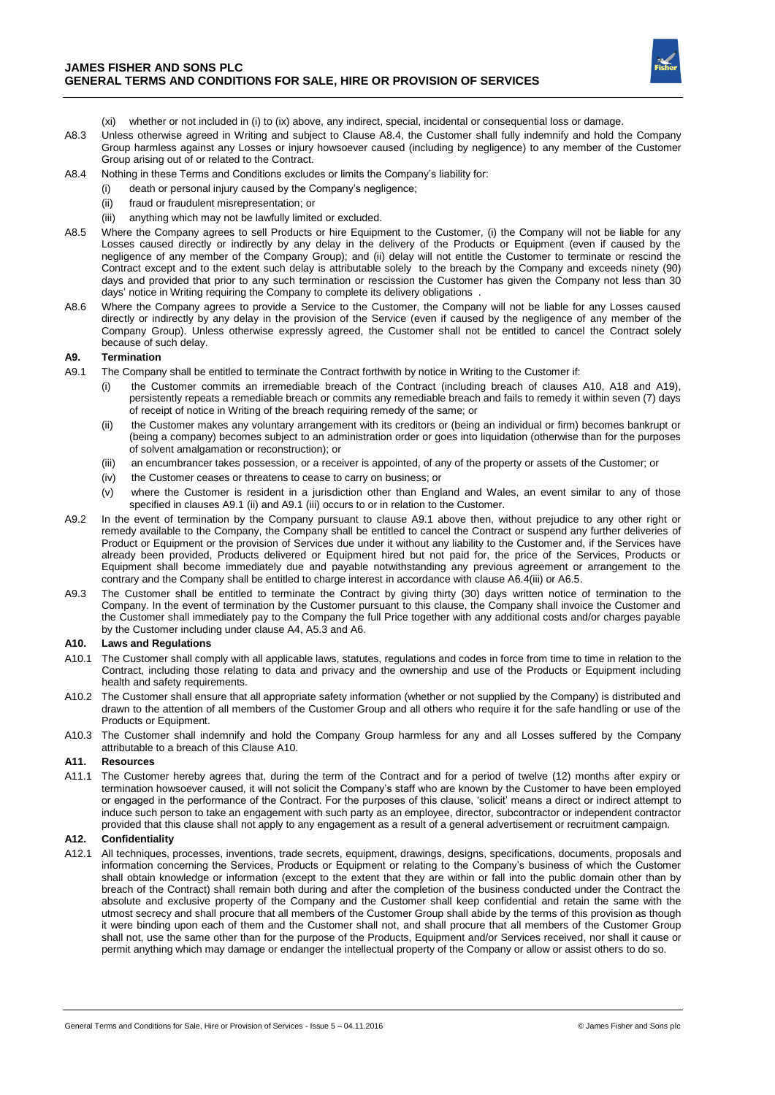

- (xi) whether or not included in (i) to (ix) above, any indirect, special, incidental or consequential loss or damage.
- A8.3 Unless otherwise agreed in Writing and subject to Clause A8.4, the Customer shall fully indemnify and hold the Company Group harmless against any Losses or injury howsoever caused (including by negligence) to any member of the Customer Group arising out of or related to the Contract.
- A8.4 Nothing in these Terms and Conditions excludes or limits the Company's liability for:
	- death or personal injury caused by the Company's negligence;
	- (ii) fraud or fraudulent misrepresentation; or
	- (iii) anything which may not be lawfully limited or excluded.
- A8.5 Where the Company agrees to sell Products or hire Equipment to the Customer, (i) the Company will not be liable for any Losses caused directly or indirectly by any delay in the delivery of the Products or Equipment (even if caused by the negligence of any member of the Company Group); and (ii) delay will not entitle the Customer to terminate or rescind the Contract except and to the extent such delay is attributable solely to the breach by the Company and exceeds ninety (90) days and provided that prior to any such termination or rescission the Customer has given the Company not less than 30 days' notice in Writing requiring the Company to complete its delivery obligations .
- A8.6 Where the Company agrees to provide a Service to the Customer, the Company will not be liable for any Losses caused directly or indirectly by any delay in the provision of the Service (even if caused by the negligence of any member of the Company Group). Unless otherwise expressly agreed, the Customer shall not be entitled to cancel the Contract solely because of such delay.

# **A9. Termination**

- A9.1 The Company shall be entitled to terminate the Contract forthwith by notice in Writing to the Customer if:
	- the Customer commits an irremediable breach of the Contract (including breach of clauses A10, A18 and A19), persistently repeats a remediable breach or commits any remediable breach and fails to remedy it within seven (7) days of receipt of notice in Writing of the breach requiring remedy of the same; or
	- (ii) the Customer makes any voluntary arrangement with its creditors or (being an individual or firm) becomes bankrupt or (being a company) becomes subject to an administration order or goes into liquidation (otherwise than for the purposes of solvent amalgamation or reconstruction); or
	- (iii) an encumbrancer takes possession, or a receiver is appointed, of any of the property or assets of the Customer; or
	- (iv) the Customer ceases or threatens to cease to carry on business; or
	- (v) where the Customer is resident in a jurisdiction other than England and Wales, an event similar to any of those specified in clauses A9.1 (ii) and A9.1 (iii) occurs to or in relation to the Customer.
- A9.2 In the event of termination by the Company pursuant to clause A9.1 above then, without prejudice to any other right or remedy available to the Company, the Company shall be entitled to cancel the Contract or suspend any further deliveries of Product or Equipment or the provision of Services due under it without any liability to the Customer and, if the Services have already been provided, Products delivered or Equipment hired but not paid for, the price of the Services, Products or Equipment shall become immediately due and payable notwithstanding any previous agreement or arrangement to the contrary and the Company shall be entitled to charge interest in accordance with clause A6.4(iii) or A6.5.
- A9.3 The Customer shall be entitled to terminate the Contract by giving thirty (30) days written notice of termination to the Company. In the event of termination by the Customer pursuant to this clause, the Company shall invoice the Customer and the Customer shall immediately pay to the Company the full Price together with any additional costs and/or charges payable by the Customer including under clause A4, A5.3 and A6.

#### **A10. Laws and Regulations**

- A10.1 The Customer shall comply with all applicable laws, statutes, regulations and codes in force from time to time in relation to the Contract, including those relating to data and privacy and the ownership and use of the Products or Equipment including health and safety requirements.
- A10.2 The Customer shall ensure that all appropriate safety information (whether or not supplied by the Company) is distributed and drawn to the attention of all members of the Customer Group and all others who require it for the safe handling or use of the Products or Equipment.
- A10.3 The Customer shall indemnify and hold the Company Group harmless for any and all Losses suffered by the Company attributable to a breach of this Clause A10.

### **A11. Resources**

A11.1 The Customer hereby agrees that, during the term of the Contract and for a period of twelve (12) months after expiry or termination howsoever caused, it will not solicit the Company's staff who are known by the Customer to have been employed or engaged in the performance of the Contract. For the purposes of this clause, 'solicit' means a direct or indirect attempt to induce such person to take an engagement with such party as an employee, director, subcontractor or independent contractor provided that this clause shall not apply to any engagement as a result of a general advertisement or recruitment campaign.

### **A12. Confidentiality**

A12.1 All techniques, processes, inventions, trade secrets, equipment, drawings, designs, specifications, documents, proposals and information concerning the Services, Products or Equipment or relating to the Company's business of which the Customer shall obtain knowledge or information (except to the extent that they are within or fall into the public domain other than by breach of the Contract) shall remain both during and after the completion of the business conducted under the Contract the absolute and exclusive property of the Company and the Customer shall keep confidential and retain the same with the utmost secrecy and shall procure that all members of the Customer Group shall abide by the terms of this provision as though it were binding upon each of them and the Customer shall not, and shall procure that all members of the Customer Group shall not, use the same other than for the purpose of the Products, Equipment and/or Services received, nor shall it cause or permit anything which may damage or endanger the intellectual property of the Company or allow or assist others to do so.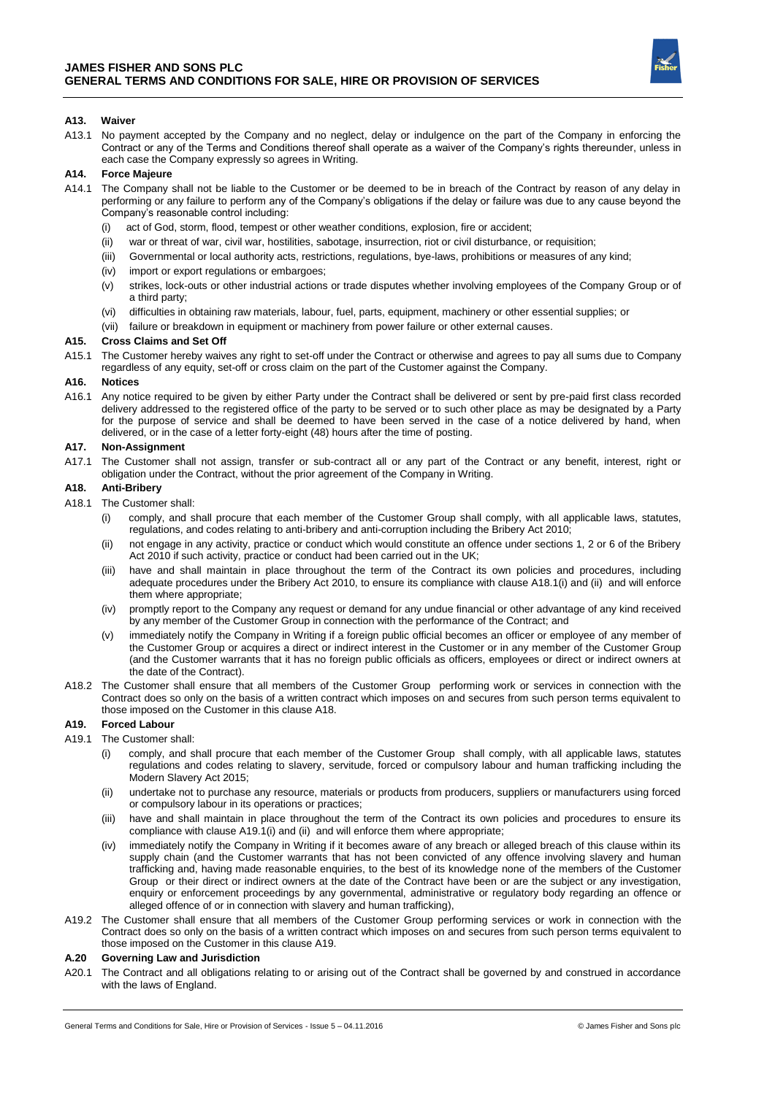

### **A13. Waiver**

A13.1 No payment accepted by the Company and no neglect, delay or indulgence on the part of the Company in enforcing the Contract or any of the Terms and Conditions thereof shall operate as a waiver of the Company's rights thereunder, unless in each case the Company expressly so agrees in Writing.

# **A14. Force Majeure**

- A14.1 The Company shall not be liable to the Customer or be deemed to be in breach of the Contract by reason of any delay in performing or any failure to perform any of the Company's obligations if the delay or failure was due to any cause beyond the Company's reasonable control including:
	- (i) act of God, storm, flood, tempest or other weather conditions, explosion, fire or accident;
	- (ii) war or threat of war, civil war, hostilities, sabotage, insurrection, riot or civil disturbance, or requisition;
	- (iii) Governmental or local authority acts, restrictions, regulations, bye-laws, prohibitions or measures of any kind;
	- (iv) import or export regulations or embargoes;
	- (v) strikes, lock-outs or other industrial actions or trade disputes whether involving employees of the Company Group or of a third party;
	- (vi) difficulties in obtaining raw materials, labour, fuel, parts, equipment, machinery or other essential supplies; or
	- (vii) failure or breakdown in equipment or machinery from power failure or other external causes.

#### **A15. Cross Claims and Set Off**

A15.1 The Customer hereby waives any right to set-off under the Contract or otherwise and agrees to pay all sums due to Company regardless of any equity, set-off or cross claim on the part of the Customer against the Company.

# **A16. Notices**

A16.1 Any notice required to be given by either Party under the Contract shall be delivered or sent by pre-paid first class recorded delivery addressed to the registered office of the party to be served or to such other place as may be designated by a Party for the purpose of service and shall be deemed to have been served in the case of a notice delivered by hand, when delivered, or in the case of a letter forty-eight (48) hours after the time of posting.

### **A17. Non-Assignment**

A17.1 The Customer shall not assign, transfer or sub-contract all or any part of the Contract or any benefit, interest, right or obligation under the Contract, without the prior agreement of the Company in Writing.

# **A18. Anti-Bribery**

- A18.1 The Customer shall:
	- comply, and shall procure that each member of the Customer Group shall comply, with all applicable laws, statutes, regulations, and codes relating to anti-bribery and anti-corruption including the Bribery Act 2010;
	- (ii) not engage in any activity, practice or conduct which would constitute an offence under sections 1, 2 or 6 of the Bribery Act 2010 if such activity, practice or conduct had been carried out in the UK;
	- (iii) have and shall maintain in place throughout the term of the Contract its own policies and procedures, including adequate procedures under the Bribery Act 2010, to ensure its compliance with clause A18.1(i) and (ii) and will enforce them where appropriate;
	- (iv) promptly report to the Company any request or demand for any undue financial or other advantage of any kind received by any member of the Customer Group in connection with the performance of the Contract; and
	- (v) immediately notify the Company in Writing if a foreign public official becomes an officer or employee of any member of the Customer Group or acquires a direct or indirect interest in the Customer or in any member of the Customer Group (and the Customer warrants that it has no foreign public officials as officers, employees or direct or indirect owners at the date of the Contract).
- A18.2 The Customer shall ensure that all members of the Customer Group performing work or services in connection with the Contract does so only on the basis of a written contract which imposes on and secures from such person terms equivalent to those imposed on the Customer in this clause A18.

#### **A19. Forced Labour**

# A19.1 The Customer shall:

- (i) comply, and shall procure that each member of the Customer Group shall comply, with all applicable laws, statutes regulations and codes relating to slavery, servitude, forced or compulsory labour and human trafficking including the Modern Slavery Act 2015;
- (ii) undertake not to purchase any resource, materials or products from producers, suppliers or manufacturers using forced or compulsory labour in its operations or practices;
- (iii) have and shall maintain in place throughout the term of the Contract its own policies and procedures to ensure its compliance with clause A19.1(i) and (ii) and will enforce them where appropriate;
- (iv) immediately notify the Company in Writing if it becomes aware of any breach or alleged breach of this clause within its supply chain (and the Customer warrants that has not been convicted of any offence involving slavery and human trafficking and, having made reasonable enquiries, to the best of its knowledge none of the members of the Customer Group or their direct or indirect owners at the date of the Contract have been or are the subject or any investigation, enquiry or enforcement proceedings by any governmental, administrative or regulatory body regarding an offence or alleged offence of or in connection with slavery and human trafficking),
- A19.2 The Customer shall ensure that all members of the Customer Group performing services or work in connection with the Contract does so only on the basis of a written contract which imposes on and secures from such person terms equivalent to those imposed on the Customer in this clause A19.

### **A.20 Governing Law and Jurisdiction**

A20.1 The Contract and all obligations relating to or arising out of the Contract shall be governed by and construed in accordance with the laws of England.